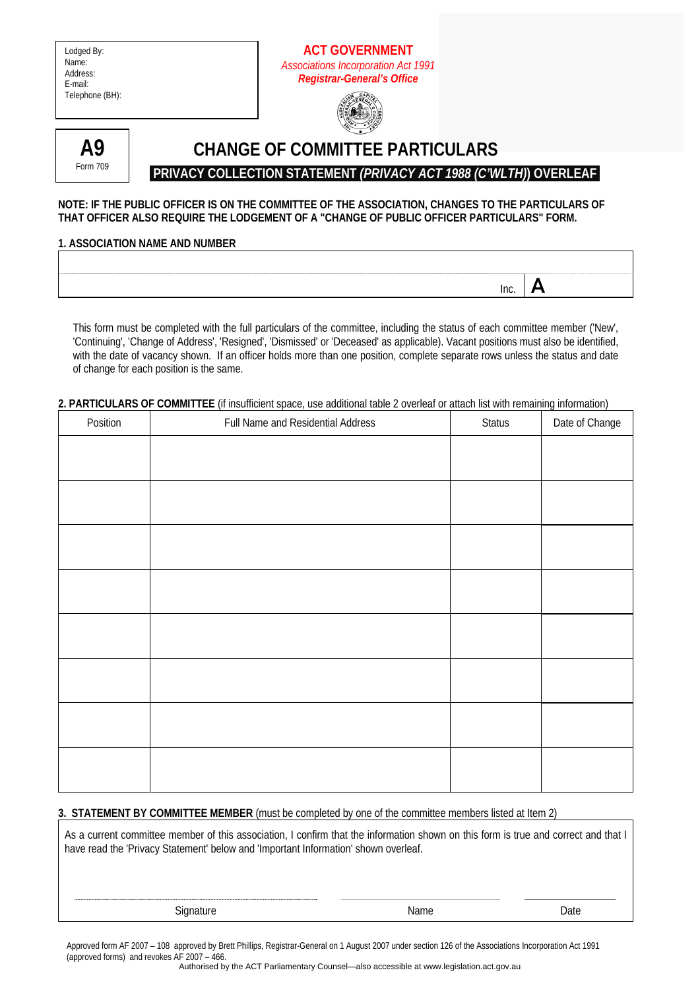| Lodged By:<br>Name:<br>Address:<br>E-mail:<br>Telephone (BH): | <b>ACT GOVERNMENT</b><br><b>Associations Incorporation Act 1991</b><br><b>Registrar-General's Office</b>                                                                                                                                                                                                                                                                                             |      |   |
|---------------------------------------------------------------|------------------------------------------------------------------------------------------------------------------------------------------------------------------------------------------------------------------------------------------------------------------------------------------------------------------------------------------------------------------------------------------------------|------|---|
| A9                                                            | <b>CHANGE OF COMMITTEE PARTICULARS</b>                                                                                                                                                                                                                                                                                                                                                               |      |   |
| Form 709                                                      |                                                                                                                                                                                                                                                                                                                                                                                                      |      |   |
|                                                               | PRIVACY COLLECTION STATEMENT (PRIVACY ACT 1988 (C'WLTH) OVERLEAF                                                                                                                                                                                                                                                                                                                                     |      |   |
| <b>1. ASSOCIATION NAME AND NUMBER</b>                         | NOTE: IF THE PUBLIC OFFICER IS ON THE COMMITTEE OF THE ASSOCIATION, CHANGES TO THE PARTICULARS OF<br>THAT OFFICER ALSO REQUIRE THE LODGEMENT OF A "CHANGE OF PUBLIC OFFICER PARTICULARS" FORM.                                                                                                                                                                                                       |      |   |
|                                                               |                                                                                                                                                                                                                                                                                                                                                                                                      |      |   |
|                                                               |                                                                                                                                                                                                                                                                                                                                                                                                      |      |   |
|                                                               |                                                                                                                                                                                                                                                                                                                                                                                                      | Inc. | А |
|                                                               | This form must be completed with the full particulars of the committee, including the status of each committee member ('New',<br>'Continuing', 'Change of Address', 'Resigned', 'Dismissed' or 'Deceased' as applicable). Vacant positions must also be identified,<br>with the date of vacancy shown. If an officer holds more than one position, complete separate rows unless the status and date |      |   |

#### **2. PARTICULARS OF COMMITTEE** (if insufficient space, use additional table 2 overleaf or attach list with remaining information)

| Position | Full Name and Residential Address | Status | Date of Change |
|----------|-----------------------------------|--------|----------------|
|          |                                   |        |                |
|          |                                   |        |                |
|          |                                   |        |                |
|          |                                   |        |                |
|          |                                   |        |                |
|          |                                   |        |                |
|          |                                   |        |                |
|          |                                   |        |                |
|          |                                   |        |                |
|          |                                   |        |                |
|          |                                   |        |                |
|          |                                   |        |                |

#### **3. STATEMENT BY COMMITTEE MEMBER** (must be completed by one of the committee members listed at Item 2)

As a current committee member of this association, I confirm that the information shown on this form is true and correct and that I have read the 'Privacy Statement' below and 'Important Information' shown overleaf.

of change for each position is the same.